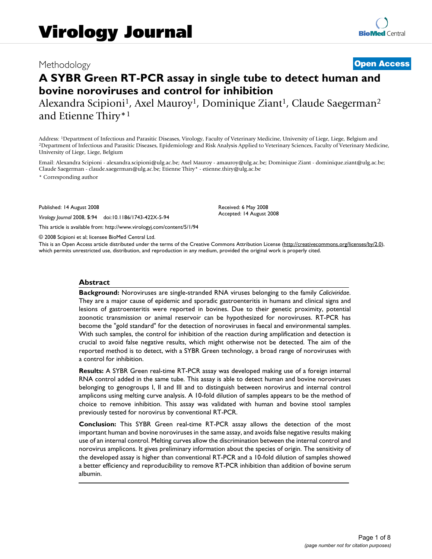# Methodology **[Open Access](http://www.biomedcentral.com/info/about/charter/)**

# **A SYBR Green RT-PCR assay in single tube to detect human and bovine noroviruses and control for inhibition**

Alexandra Scipioni<sup>1</sup>, Axel Mauroy<sup>1</sup>, Dominique Ziant<sup>1</sup>, Claude Saegerman<sup>2</sup> and Etienne Thiry\*1

Address: <sup>1</sup>Department of Infectious and Parasitic Diseases, Virology, Faculty of Veterinary Medicine, University of Liege, Liege, Belgium and <sup>2</sup>Department of Infectious and Parasitic Diseases, Epidemiology and Risk Analy University of Liege, Liege, Belgium

Email: Alexandra Scipioni - alexandra.scipioni@ulg.ac.be; Axel Mauroy - amauroy@ulg.ac.be; Dominique Ziant - dominique.ziant@ulg.ac.be; Claude Saegerman - claude.saegerman@ulg.ac.be; Etienne Thiry\* - etienne.thiry@ulg.ac.be

\* Corresponding author

Published: 14 August 2008

*Virology Journal* 2008, **5**:94 doi:10.1186/1743-422X-5-94

[This article is available from: http://www.virologyj.com/content/5/1/94](http://www.virologyj.com/content/5/1/94)

© 2008 Scipioni et al; licensee BioMed Central Ltd.

This is an Open Access article distributed under the terms of the Creative Commons Attribution License [\(http://creativecommons.org/licenses/by/2.0\)](http://creativecommons.org/licenses/by/2.0), which permits unrestricted use, distribution, and reproduction in any medium, provided the original work is properly cited.

Received: 6 May 2008 Accepted: 14 August 2008

#### **Abstract**

**Background:** Noroviruses are single-stranded RNA viruses belonging to the family *Caliciviridae*. They are a major cause of epidemic and sporadic gastroenteritis in humans and clinical signs and lesions of gastroenteritis were reported in bovines. Due to their genetic proximity, potential zoonotic transmission or animal reservoir can be hypothesized for noroviruses. RT-PCR has become the "gold standard" for the detection of noroviruses in faecal and environmental samples. With such samples, the control for inhibition of the reaction during amplification and detection is crucial to avoid false negative results, which might otherwise not be detected. The aim of the reported method is to detect, with a SYBR Green technology, a broad range of noroviruses with a control for inhibition.

**Results:** A SYBR Green real-time RT-PCR assay was developed making use of a foreign internal RNA control added in the same tube. This assay is able to detect human and bovine noroviruses belonging to genogroups I, II and III and to distinguish between norovirus and internal control amplicons using melting curve analysis. A 10-fold dilution of samples appears to be the method of choice to remove inhibition. This assay was validated with human and bovine stool samples previously tested for norovirus by conventional RT-PCR.

**Conclusion:** This SYBR Green real-time RT-PCR assay allows the detection of the most important human and bovine noroviruses in the same assay, and avoids false negative results making use of an internal control. Melting curves allow the discrimination between the internal control and norovirus amplicons. It gives preliminary information about the species of origin. The sensitivity of the developed assay is higher than conventional RT-PCR and a 10-fold dilution of samples showed a better efficiency and reproducibility to remove RT-PCR inhibition than addition of bovine serum albumin.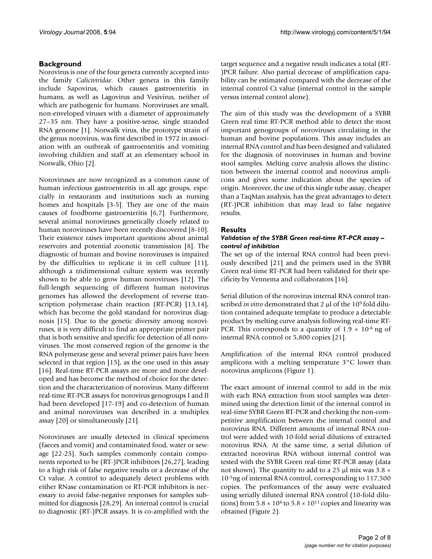# **Background**

Norovirus is one of the four genera currently accepted into the family *Caliciviridae*. Other genera in this family include Sapovirus, which causes gastroenteritis in humans, as well as Lagovirus and Vesivirus, neither of which are pathogenic for humans. Noroviruses are small, non-enveloped viruses with a diameter of approximately 27–35 nm. They have a positive-sense, single stranded RNA genome [1]. Norwalk virus, the prototype strain of the genus norovirus, was first described in 1972 in association with an outbreak of gastroenteritis and vomiting involving children and staff at an elementary school in Norwalk, Ohio [2].

Noroviruses are now recognized as a common cause of human infectious gastroenteritis in all age groups, especially in restaurants and institutions such as nursing homes and hospitals [3-5]. They are one of the main causes of foodborne gastroenteritis [6,7]. Furthermore, several animal noroviruses genetically closely related to human noroviruses have been recently discovered [8-10]. Their existence raises important questions about animal reservoirs and potential zoonotic transmission [8]. The diagnostic of human and bovine noroviruses is impaired by the difficulties to replicate it in cell culture [11], although a tridimensional culture system was recently shown to be able to grow human noroviruses [12]. The full-length sequencing of different human norovirus genomes has allowed the development of reverse transcription polymerase chain reaction (RT-PCR) [13,14], which has become the gold standard for norovirus diagnosis [15]. Due to the genetic diversity among noroviruses, it is very difficult to find an appropriate primer pair that is both sensitive and specific for detection of all noroviruses. The most conserved region of the genome is the RNA polymerase gene and several primer pairs have been selected in that region [15], as the one used in this assay [16]. Real-time RT-PCR assays are more and more developed and has become the method of choice for the detection and the characterization of norovirus. Many different real-time RT-PCR assays for norovirus genogroups I and II had been developed [17-19] and co-detection of human and animal noroviruses was described in a multiplex assay [20] or simultaneously [21].

Noroviruses are usually detected in clinical specimens (faeces and vomit) and contaminated food, water or sewage [22-25]. Such samples commonly contain components reported to be (RT-)PCR inhibitors [26,27], leading to a high risk of false negative results or a decrease of the Ct value. A control to adequately detect problems with either RNase contamination or RT-PCR inhibitors is necessary to avoid false-negative responses for samples submitted for diagnosis [28,29]. An internal control is crucial to diagnostic (RT-)PCR assays. It is co-amplified with the target sequence and a negative result indicates a total (RT- )PCR failure. Also partial decrease of amplification capability can be estimated compared with the decrease of the internal control Ct value (internal control in the sample versus internal control alone).

The aim of this study was the development of a SYBR Green real time RT-PCR method able to detect the most important genogroups of noroviruses circulating in the human and bovine populations. This assay includes an internal RNA control and has been designed and validated for the diagnosis of noroviruses in human and bovine stool samples. Melting curve analysis allows the distinction between the internal control and norovirus amplicons and gives some indication about the species of origin. Moreover, the use of this single tube assay, cheaper than a TaqMan analysis, has the great advantages to detect (RT-)PCR inhibition that may lead to false negative results.

# **Results**

# *Validation of the SYBR Green real-time RT-PCR assay – control of inhibition*

The set up of the internal RNA control had been previously described [21] and the primers used in the SYBR Green real-time RT-PCR had been validated for their specificity by Vennema and collaborators [16].

Serial dilution of the norovirus internal RNA control transcribed *in vitro* demonstrated that 2 μl of the 109 fold dilution contained adequate template to produce a detectable product by melting curve analysis following real-time RT-PCR. This corresponds to a quantity of  $1.9 \times 10^{-6}$  ng of internal RNA control or 5,800 copies [21].

Amplification of the internal RNA control produced amplicons with a melting temperature 3°C lower than norovirus amplicons (Figure 1).

The exact amount of internal control to add in the mix with each RNA extraction from stool samples was determined using the detection limit of the internal control in real-time SYBR Green RT-PCR and checking the non-competitive amplification between the internal control and norovirus RNA. Different amounts of internal RNA control were added with 10-fold serial dilutions of extracted norovirus RNA. At the same time, a serial dilution of extracted norovirus RNA without internal control was tested with the SYBR Green real-time RT-PCR assay (data not shown). The quantity to add to a 25 μl mix was 3.8 × 10-5ng of internal RNA control, corresponding to 117,500 copies. The performances of the assay were evaluated using serially diluted internal RNA control (10-fold dilutions) from  $5.8 \times 10^6$  to  $5.8 \times 10^{11}$  copies and linearity was obtained (Figure 2).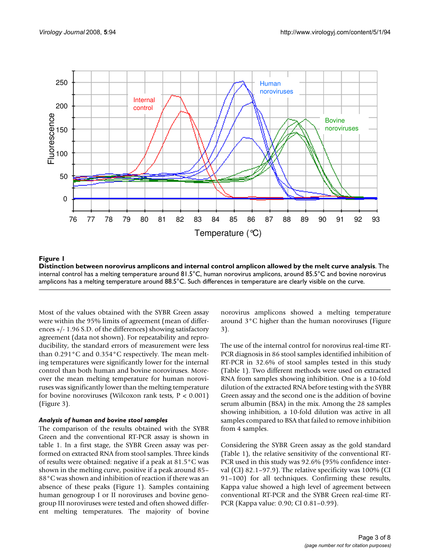

Distinction between norovirus amplicons and internal **Figure 1** control amplicon allowed by the melt curve analysis **Distinction between norovirus amplicons and internal control amplicon allowed by the melt curve analysis**. The internal control has a melting temperature around 81.5°C, human norovirus amplicons, around 85.5°C and bovine norovirus amplicons has a melting temperature around 88.5°C. Such differences in temperature are clearly visible on the curve.

Most of the values obtained with the SYBR Green assay were within the 95% limits of agreement (mean of differences +/- 1.96 S.D. of the differences) showing satisfactory agreement (data not shown). For repeatability and reproducibility, the standard errors of measurement were less than 0.291°C and 0.354°C respectively. The mean melting temperatures were significantly lower for the internal control than both human and bovine noroviruses. Moreover the mean melting temperature for human noroviruses was significantly lower than the melting temperature for bovine noroviruses (Wilcoxon rank tests,  $P < 0.001$ ) (Figure 3).

# *Analysis of human and bovine stool samples*

The comparison of the results obtained with the SYBR Green and the conventional RT-PCR assay is shown in table 1. In a first stage, the SYBR Green assay was performed on extracted RNA from stool samples. Three kinds of results were obtained: negative if a peak at 81.5°C was shown in the melting curve, positive if a peak around 85– 88°C was shown and inhibition of reaction if there was an absence of these peaks (Figure 1). Samples containing human genogroup I or II noroviruses and bovine genogroup III noroviruses were tested and often showed different melting temperatures. The majority of bovine norovirus amplicons showed a melting temperature around 3°C higher than the human noroviruses (Figure 3).

The use of the internal control for norovirus real-time RT-PCR diagnosis in 86 stool samples identified inhibition of RT-PCR in 32.6% of stool samples tested in this study (Table 1). Two different methods were used on extracted RNA from samples showing inhibition. One is a 10-fold dilution of the extracted RNA before testing with the SYBR Green assay and the second one is the addition of bovine serum albumin (BSA) in the mix. Among the 28 samples showing inhibition, a 10-fold dilution was active in all samples compared to BSA that failed to remove inhibition from 4 samples.

Considering the SYBR Green assay as the gold standard (Table 1), the relative sensitivity of the conventional RT-PCR used in this study was 92.6% (95% confidence interval (CI) 82.1–97.9). The relative specificity was 100% (CI 91–100) for all techniques. Confirming these results, Kappa value showed a high level of agreement between conventional RT-PCR and the SYBR Green real-time RT-PCR (Kappa value: 0.90; CI 0.81–0.99).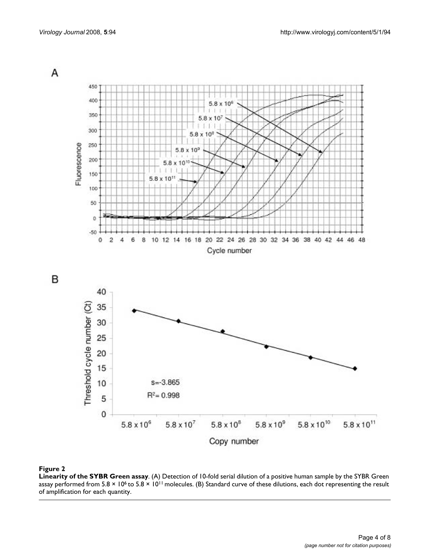

#### **Figure 2**

**Linearity of the SYBR Green assay**. (A) Detection of 10-fold serial dilution of a positive human sample by the SYBR Green assay performed from 5.8  $\times$  10<sup>6</sup> to 5.8  $\times$  10<sup>11</sup> molecules. (B) Standard curve of these dilutions, each dot representing the result of amplification for each quantity.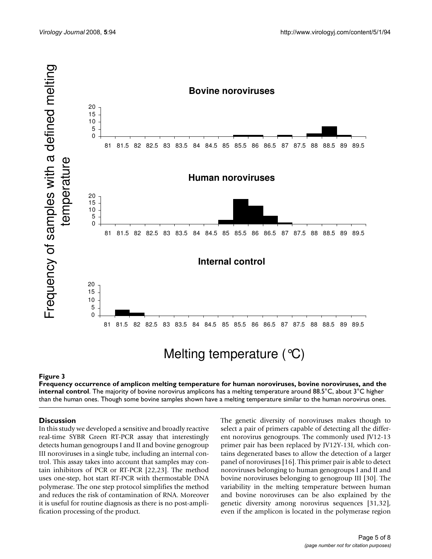

#### Frequency occurrence of amplicon melting temperature for human **Figure 3** noroviruses, bovine noroviruses, and the internal control

**Frequency occurrence of amplicon melting temperature for human noroviruses, bovine noroviruses, and the internal control**. The majority of bovine norovirus amplicons has a melting temperature around 88.5°C, about 3°C higher

#### **Discussion**

In this study we developed a sensitive and broadly reactive real-time SYBR Green RT-PCR assay that interestingly detects human genogroups I and II and bovine genogroup III noroviruses in a single tube, including an internal control. This assay takes into account that samples may contain inhibitors of PCR or RT-PCR [22,23]. The method uses one-step, hot start RT-PCR with thermostable DNA polymerase. The one step protocol simplifies the method and reduces the risk of contamination of RNA. Moreover it is useful for routine diagnosis as there is no post-amplification processing of the product.

The genetic diversity of noroviruses makes though to select a pair of primers capable of detecting all the different norovirus genogroups. The commonly used JV12-13 primer pair has been replaced by JV12Y-13I, which contains degenerated bases to allow the detection of a larger panel of noroviruses [16]. This primer pair is able to detect noroviruses belonging to human genogroups I and II and bovine noroviruses belonging to genogroup III [30]. The variability in the melting temperature between human and bovine noroviruses can be also explained by the genetic diversity among norovirus sequences [31,32], even if the amplicon is located in the polymerase region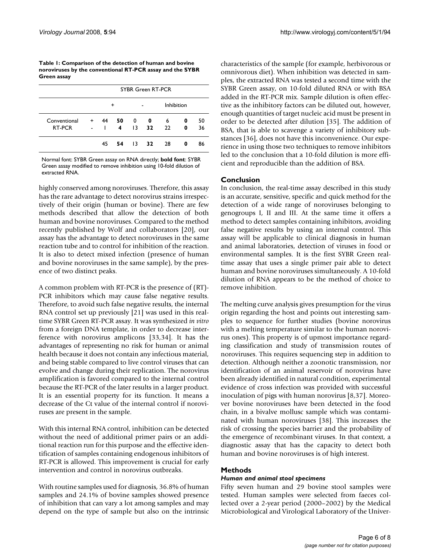**Table 1: Comparison of the detection of human and bovine noroviruses by the conventional RT-PCR assay and the SYBR Green assay**

|              | SYBR Green RT-PCR |    |     |                 |     |            |   |    |
|--------------|-------------------|----|-----|-----------------|-----|------------|---|----|
|              |                   | +  |     |                 |     | Inhibition |   |    |
| Conventional | +                 | 44 | 50  | 0               | 0   | 6          | 0 | 50 |
| RT-PCR       | $\blacksquare$    |    | 4   | $\overline{13}$ | 32  | 22         | 0 | 36 |
|              |                   | 45 | -54 | 13              | -32 | 28         | 0 | 86 |

Normal font: SYBR Green assay on RNA directly; **bold font**: SYBR Green assay modified to remove inhibition using 10-fold dilution of extracted RNA.

highly conserved among noroviruses. Therefore, this assay has the rare advantage to detect norovirus strains irrespectively of their origin (human or bovine). There are few methods described that allow the detection of both human and bovine noroviruses. Compared to the method recently published by Wolf and collaborators [20], our assay has the advantage to detect noroviruses in the same reaction tube and to control for inhibition of the reaction. It is also to detect mixed infection (presence of human and bovine noroviruses in the same sample), by the presence of two distinct peaks.

A common problem with RT-PCR is the presence of (RT)- PCR inhibitors which may cause false negative results. Therefore, to avoid such false negative results, the internal RNA control set up previously [21] was used in this realtime SYBR Green RT-PCR assay. It was synthesized *in vitro* from a foreign DNA template, in order to decrease interference with norovirus amplicons [33,34]. It has the advantages of representing no risk for human or animal health because it does not contain any infectious material, and being stable compared to live control viruses that can evolve and change during their replication. The norovirus amplification is favored compared to the internal control because the RT-PCR of the later results in a larger product. It is an essential property for its function. It means a decrease of the Ct value of the internal control if noroviruses are present in the sample.

With this internal RNA control, inhibition can be detected without the need of additional primer pairs or an additional reaction run for this purpose and the effective identification of samples containing endogenous inhibitors of RT-PCR is allowed. This improvement is crucial for early intervention and control in norovirus outbreaks.

With routine samples used for diagnosis, 36.8% of human samples and 24.1% of bovine samples showed presence of inhibition that can vary a lot among samples and may depend on the type of sample but also on the intrinsic characteristics of the sample (for example, herbivorous or omnivorous diet). When inhibition was detected in samples, the extracted RNA was tested a second time with the SYBR Green assay, on 10-fold diluted RNA or with BSA added in the RT-PCR mix. Sample dilution is often effective as the inhibitory factors can be diluted out, however, enough quantities of target nucleic acid must be present in order to be detected after dilution [35]. The addition of BSA, that is able to scavenge a variety of inhibitory substances [36], does not have this inconvenience. Our experience in using those two techniques to remove inhibitors led to the conclusion that a 10-fold dilution is more efficient and reproducible than the addition of BSA.

# **Conclusion**

In conclusion, the real-time assay described in this study is an accurate, sensitive, specific and quick method for the detection of a wide range of noroviruses belonging to genogroups I, II and III. At the same time it offers a method to detect samples containing inhibitors, avoiding false negative results by using an internal control. This assay will be applicable to clinical diagnosis in human and animal laboratories, detection of viruses in food or environmental samples. It is the first SYBR Green realtime assay that uses a single primer pair able to detect human and bovine noroviruses simultaneously. A 10-fold dilution of RNA appears to be the method of choice to remove inhibition.

The melting curve analysis gives presumption for the virus origin regarding the host and points out interesting samples to sequence for further studies (bovine norovirus with a melting temperature similar to the human norovirus ones). This property is of upmost importance regarding classification and study of transmission routes of noroviruses. This requires sequencing step in addition to detection. Although neither a zoonotic transmission, nor identification of an animal reservoir of norovirus have been already identified in natural condition, experimental evidence of cross infection was provided with successful inoculation of pigs with human norovirus [8,37]. Moreover bovine noroviruses have been detected in the food chain, in a bivalve mollusc sample which was contaminated with human noroviruses [38]. This increases the risk of crossing the species barrier and the probability of the emergence of recombinant viruses. In that context, a diagnostic assay that has the capacity to detect both human and bovine noroviruses is of high interest.

# **Methods**

# *Human and animal stool specimens*

Fifty seven human and 29 bovine stool samples were tested. Human samples were selected from faeces collected over a 2-year period (2000–2002) by the Medical Microbiological and Virological Laboratory of the Univer-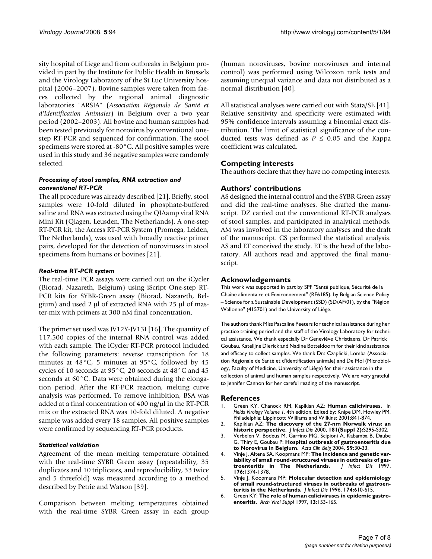sity hospital of Liege and from outbreaks in Belgium provided in part by the Institute for Public Health in Brussels and the Virology Laboratory of the St Luc University hospital (2006–2007). Bovine samples were taken from faeces collected by the regional animal diagnostic laboratories "ARSIA" (*Association Régionale de Santé et d'Identification Animales*) in Belgium over a two year period (2002–2003). All bovine and human samples had been tested previously for norovirus by conventional onestep RT-PCR and sequenced for confirmation. The stool specimens were stored at -80°C. All positive samples were used in this study and 36 negative samples were randomly selected.

#### *Processing of stool samples, RNA extraction and conventional RT-PCR*

The all procedure was already described [21]. Briefly, stool samples were 10-fold diluted in phosphate-buffered saline and RNA was extracted using the QIAamp viral RNA Mini Kit (Qiagen, Leusden, The Netherlands). A one-step RT-PCR kit, the Access RT-PCR System (Promega, Leiden, The Netherlands), was used with broadly reactive primer pairs, developed for the detection of noroviruses in stool specimens from humans or bovines [21].

#### *Real-time RT-PCR system*

The real-time PCR assays were carried out on the iCycler (Biorad, Nazareth, Belgium) using iScript One-step RT-PCR kits for SYBR-Green assay (Biorad, Nazareth, Belgium) and used 2 μl of extracted RNA with 25 μl of master-mix with primers at 300 nM final concentration.

The primer set used was JV12Y-JV13I [16]. The quantity of 117,500 copies of the internal RNA control was added with each sample. The iCycler RT-PCR protocol included the following parameters: reverse transcription for 18 minutes at 48°C, 5 minutes at 95°C, followed by 45 cycles of 10 seconds at 95°C, 20 seconds at 48°C and 45 seconds at 60°C. Data were obtained during the elongation period. After the RT-PCR reaction, melting curve analysis was performed. To remove inhibition, BSA was added at a final concentration of 400 ng/μl in the RT-PCR mix or the extracted RNA was 10-fold diluted. A negative sample was added every 18 samples. All positive samples were confirmed by sequencing RT-PCR products.

#### *Statistical validation*

Agreement of the mean melting temperature obtained with the real-time SYBR Green assay (repeatability, 35 duplicates and 10 triplicates, and reproducibility, 33 twice and 5 threefold) was measured according to a method described by Petrie and Watson [39].

Comparison between melting temperatures obtained with the real-time SYBR Green assay in each group (human noroviruses, bovine noroviruses and internal control) was performed using Wilcoxon rank tests and assuming unequal variance and data not distributed as a normal distribution [40].

All statistical analyses were carried out with Stata/SE [41]. Relative sensitivity and specificity were estimated with 95% confidence intervals assuming a binomial exact distribution. The limit of statistical significance of the conducted tests was defined as  $P \leq 0.05$  and the Kappa coefficient was calculated.

# **Competing interests**

The authors declare that they have no competing interests.

# **Authors' contributions**

AS designed the internal control and the SYBR Green assay and did the real-time analyses. She drafted the manuscript. DZ carried out the conventional RT-PCR analyses of stool samples, and participated in analytical methods. AM was involved in the laboratory analyses and the draft of the manuscript. CS performed the statistical analysis. AS and ET conceived the study. ET is the head of the laboratory. All authors read and approved the final manuscript.

#### **Acknowledgements**

This work was supported in part by SPF "Santé publique, Sécurité de la Chaîne alimentaire et Environnement" (RF6185), by Belgian Science Policy – Science for a Sustainable Development (SSD) (SD/AF/01), by the "Région Wallonne" (415701) and the University of Liège.

The authors thank Miss Pascaline Peeters for technical assistance during her practice training period and the staff of the Virology Laboratory for technical assistance. We thank especially Dr Geneviève Christiaens, Dr Patrick Goubau, Katelijne Dierick and Nadine Botteldoorn for their kind assistance and efficacy to collect samples. We thank Drs Czaplicki, Lomba (Association Régionale de Santé et d'identification animale) and De Mol (Microbiology, Faculty of Medicine, University of Liège) for their assistance in the collection of animal and human samples respectively. We are very grateful to Jennifer Cannon for her careful reading of the manuscript.

#### **References**

- 1. Green KY, Chanock RM, Kapikian AZ: **Human caliciviruses.** In *Fields Virology Volume 1*. 4th edition. Edited by: Knipe DM, Howley PM. Philadelphia: Lippincott Williams and Wilkins; 2001:841-874.
- 2. Kapikian AZ: **[The discovery of the 27-nm Norwalk virus: an](http://www.ncbi.nlm.nih.gov/entrez/query.fcgi?cmd=Retrieve&db=PubMed&dopt=Abstract&list_uids=10804141) [historic perspective.](http://www.ncbi.nlm.nih.gov/entrez/query.fcgi?cmd=Retrieve&db=PubMed&dopt=Abstract&list_uids=10804141)** *J Infect Dis* 2000, **181(Suppl 2):**S295-S302.
- 3. Verbelen V, Bodeus M, Garrino MG, Scipioni A, Kabamba B, Daube G, Thiry E, Goubau P: **[Hospital outbreak of gastroenteritis due](http://www.ncbi.nlm.nih.gov/entrez/query.fcgi?cmd=Retrieve&db=PubMed&dopt=Abstract&list_uids=15065694) [to Norovirus in Belgium.](http://www.ncbi.nlm.nih.gov/entrez/query.fcgi?cmd=Retrieve&db=PubMed&dopt=Abstract&list_uids=15065694)** *Acta Clin Belg* 2004, **59:**30-33.
- 4. Vinje J, Altena SA, Koopmans MP: **[The incidence and genetic var](http://www.ncbi.nlm.nih.gov/entrez/query.fcgi?cmd=Retrieve&db=PubMed&dopt=Abstract&list_uids=9359742)**iability of small round-structured viruses in outbreaks of gas-<br>troenteritis in The Netherlands. *| Infect Dis* 1997, [troenteritis in The Netherlands.](http://www.ncbi.nlm.nih.gov/entrez/query.fcgi?cmd=Retrieve&db=PubMed&dopt=Abstract&list_uids=9359742) **176:**1374-1378.
- 5. Vinje J, Koopmans MP: **[Molecular detection and epidemiology](http://www.ncbi.nlm.nih.gov/entrez/query.fcgi?cmd=Retrieve&db=PubMed&dopt=Abstract&list_uids=8769621) [of small round-structured viruses in outbreaks of gastroen](http://www.ncbi.nlm.nih.gov/entrez/query.fcgi?cmd=Retrieve&db=PubMed&dopt=Abstract&list_uids=8769621)[teritis in the Netherlands.](http://www.ncbi.nlm.nih.gov/entrez/query.fcgi?cmd=Retrieve&db=PubMed&dopt=Abstract&list_uids=8769621)** *J Infect Dis* 1996, **174:**610-615.
- 6. Green KY: **[The role of human caliciviruses in epidemic gastro](http://www.ncbi.nlm.nih.gov/entrez/query.fcgi?cmd=Retrieve&db=PubMed&dopt=Abstract&list_uids=9413535)[enteritis.](http://www.ncbi.nlm.nih.gov/entrez/query.fcgi?cmd=Retrieve&db=PubMed&dopt=Abstract&list_uids=9413535)** *Arch Virol Suppl* 1997, **13:**153-165.